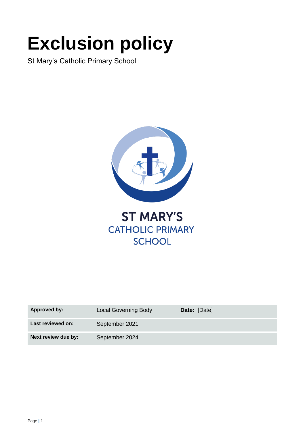# **Exclusion policy**

St Mary's Catholic Primary School



**ST MARY'S CATHOLIC PRIMARY SCHOOL** 

| <b>Approved by:</b> | <b>Local Governing Body</b> | Date: [Date] |
|---------------------|-----------------------------|--------------|
| Last reviewed on:   | September 2021              |              |
| Next review due by: | September 2024              |              |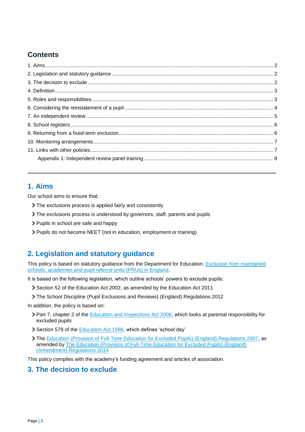# **Contents**

## <span id="page-1-0"></span>**1. Aims**

Our school aims to ensure that:

- The exclusions process is applied fairly and consistently
- The exclusions process is understood by governors, staff, parents and pupils
- > Pupils in school are safe and happy
- Pupils do not become NEET (not in education, employment or training)

## <span id="page-1-1"></span>**2. Legislation and statutory guidance**

This policy is based on statutory guidance from the Department for Education: Exclusion from maintained [schools, academies and pupil referral units \(PRUs\) in England.](https://www.gov.uk/government/publications/school-exclusion)

It is based on the following legislation, which outline schools' powers to exclude pupils:

- Section 52 of the [Education Act 2002,](http://www.legislation.gov.uk/ukpga/2002/32/section/52) as amended by the [Education Act 2011](http://www.legislation.gov.uk/ukpga/2011/21/contents/enacted)
- [The School Discipline \(Pupil Exclusions and Reviews\) \(England\) Regulations 2012](http://www.legislation.gov.uk/uksi/2012/1033/made)

In addition, the policy is based on:

- ▶ Part 7, chapter 2 of the [Education and Inspections Act 2006,](http://www.legislation.gov.uk/ukpga/2006/40/part/7/chapter/2) which looks at parental responsibility for excluded pupils
- Section 579 of the [Education Act 1996,](http://www.legislation.gov.uk/ukpga/1996/56/section/579) which defines 'school day'
- The [Education \(Provision of Full-Time Education for Excluded Pupils\) \(England\) Regulations 2007,](http://www.legislation.gov.uk/uksi/2007/1870/contents/made) as amended b[y The Education \(Provision of Full-Time Education for Excluded Pupils\) \(England\)](http://www.legislation.gov.uk/uksi/2014/3216/contents/made)  [\(Amendment\) Regulations 2014](http://www.legislation.gov.uk/uksi/2014/3216/contents/made)

This policy complies with the academy's funding agreement and articles of association.

## <span id="page-1-2"></span>**3. The decision to exclude**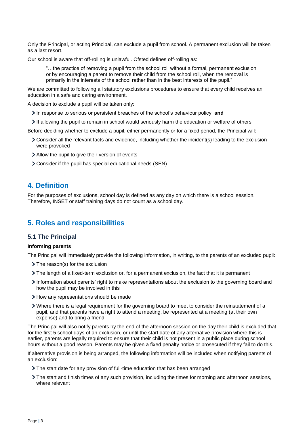Only the Principal, or acting Principal, can exclude a pupil from school. A permanent exclusion will be taken as a last resort.

Our school is aware that off-rolling is unlawful. Ofsted defines off-rolling as:

"…the practice of removing a pupil from the school roll without a formal, permanent exclusion or by encouraging a parent to remove their child from the school roll, when the removal is primarily in the interests of the school rather than in the best interests of the pupil."

We are committed to following all statutory exclusions procedures to ensure that every child receives an education in a safe and caring environment.

A decision to exclude a pupil will be taken only:

- In response to serious or persistent breaches of the school's behaviour policy, **and**
- If allowing the pupil to remain in school would seriously harm the education or welfare of others

Before deciding whether to exclude a pupil, either permanently or for a fixed period, the Principal will:

- Consider all the relevant facts and evidence, including whether the incident(s) leading to the exclusion were provoked
- Allow the pupil to give their version of events
- Consider if the pupil has special educational needs (SEN)

## <span id="page-2-0"></span>**4. Definition**

For the purposes of exclusions, school day is defined as any day on which there is a school session. Therefore, INSET or staff training days do not count as a school day.

## <span id="page-2-1"></span>**5. Roles and responsibilities**

#### **5.1 The Principal**

#### **Informing parents**

The Principal will immediately provide the following information, in writing, to the parents of an excluded pupil:

- > The reason(s) for the exclusion
- The length of a fixed-term exclusion or, for a permanent exclusion, the fact that it is permanent
- Information about parents' right to make representations about the exclusion to the governing board and how the pupil may be involved in this
- > How any representations should be made
- Where there is a legal requirement for the governing board to meet to consider the reinstatement of a pupil, and that parents have a right to attend a meeting, be represented at a meeting (at their own expense) and to bring a friend

The Principal will also notify parents by the end of the afternoon session on the day their child is excluded that for the first 5 school days of an exclusion, or until the start date of any alternative provision where this is earlier, parents are legally required to ensure that their child is not present in a public place during school hours without a good reason. Parents may be given a fixed penalty notice or prosecuted if they fail to do this.

If alternative provision is being arranged, the following information will be included when notifying parents of an exclusion:

- The start date for any provision of full-time education that has been arranged
- The start and finish times of any such provision, including the times for morning and afternoon sessions, where relevant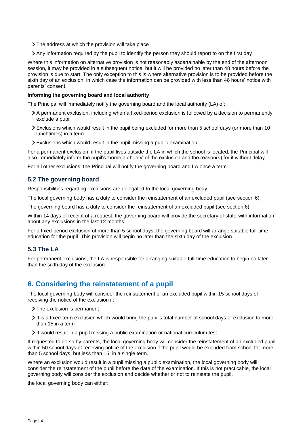- > The address at which the provision will take place
- Any information required by the pupil to identify the person they should report to on the first day

Where this information on alternative provision is not reasonably ascertainable by the end of the afternoon session, it may be provided in a subsequent notice, but it will be provided no later than 48 hours before the provision is due to start. The only exception to this is where alternative provision is to be provided before the sixth day of an exclusion, in which case the information can be provided with less than 48 hours' notice with parents' consent.

#### **Informing the governing board and local authority**

The Principal will immediately notify the governing board and the local authority (LA) of:

- A permanent exclusion, including when a fixed-period exclusion is followed by a decision to permanently exclude a pupil
- Exclusions which would result in the pupil being excluded for more than 5 school days (or more than 10 lunchtimes) in a term
- Exclusions which would result in the pupil missing a public examination

For a permanent exclusion, if the pupil lives outside the LA in which the school is located, the Principal will also immediately inform the pupil's 'home authority' of the exclusion and the reason(s) for it without delay.

For all other exclusions, the Principal will notify the governing board and LA once a term.

#### **5.2 The governing board**

Responsibilities regarding exclusions are delegated to the local governing body.

The local governing body has a duty to consider the reinstatement of an excluded pupil (see section 6).

The governing board has a duty to consider the reinstatement of an excluded pupil (see section 6).

Within 14 days of receipt of a request, the governing board will provide the secretary of state with information about any exclusions in the last 12 months.

For a fixed-period exclusion of more than 5 school days, the governing board will arrange suitable full-time education for the pupil. This provision will begin no later than the sixth day of the exclusion.

#### **5.3 The LA**

For permanent exclusions, the LA is responsible for arranging suitable full-time education to begin no later than the sixth day of the exclusion.

## <span id="page-3-0"></span>**6. Considering the reinstatement of a pupil**

The local governing body will consider the reinstatement of an excluded pupil within 15 school days of receiving the notice of the exclusion if:

- > The exclusion is permanent
- It is a fixed-term exclusion which would bring the pupil's total number of school days of exclusion to more than 15 in a term
- $\geq$  It would result in a pupil missing a public examination or national curriculum test

If requested to do so by parents, the local governing body will consider the reinstatement of an excluded pupil within 50 school days of receiving notice of the exclusion if the pupil would be excluded from school for more than 5 school days, but less than 15, in a single term.

Where an exclusion would result in a pupil missing a public examination, the local governing body will consider the reinstatement of the pupil before the date of the examination. If this is not practicable, the local governing body will consider the exclusion and decide whether or not to reinstate the pupil.

the local governing body can either: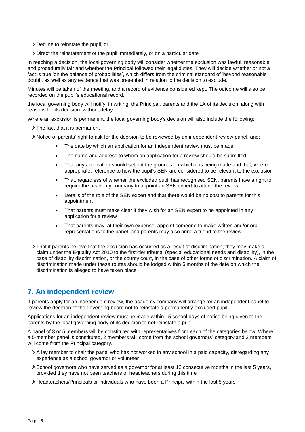- > Decline to reinstate the pupil, or
- Direct the reinstatement of the pupil immediately, or on a particular date

In reaching a decision, the local governing body will consider whether the exclusion was lawful, reasonable and procedurally fair and whether the Principal followed their legal duties. They will decide whether or not a fact is true 'on the balance of probabilities', which differs from the criminal standard of 'beyond reasonable doubt', as well as any evidence that was presented in relation to the decision to exclude.

Minutes will be taken of the meeting, and a record of evidence considered kept. The outcome will also be recorded on the pupil's educational record.

the local governing body will notify, in writing, the Principal, parents and the LA of its decision, along with reasons for its decision, without delay.

Where an exclusion is permanent, the local governing body's decision will also include the following:

> The fact that it is permanent

- Notice of parents' right to ask for the decision to be reviewed by an independent review panel, and:
	- The date by which an application for an independent review must be made
	- The name and address to whom an application for a review should be submitted
	- That any application should set out the grounds on which it is being made and that, where appropriate, reference to how the pupil's SEN are considered to be relevant to the exclusion
	- That, regardless of whether the excluded pupil has recognised SEN, parents have a right to require the academy company to appoint an SEN expert to attend the review
	- Details of the role of the SEN expert and that there would be no cost to parents for this appointment
	- That parents must make clear if they wish for an SEN expert to be appointed in any application for a review
	- That parents may, at their own expense, appoint someone to make written and/or oral representations to the panel, and parents may also bring a friend to the review
- That if parents believe that the exclusion has occurred as a result of discrimination, they may make a claim under the Equality Act 2010 to the first-tier tribunal (special educational needs and disability), in the case of disability discrimination, or the county court, in the case of other forms of discrimination. A claim of discrimination made under these routes should be lodged within 6 months of the date on which the discrimination is alleged to have taken place

## <span id="page-4-0"></span>**7. An independent review**

If parents apply for an independent review, the academy company will arrange for an independent panel to review the decision of the governing board not to reinstate a permanently excluded pupil.

Applications for an independent review must be made within 15 school days of notice being given to the parents by the local governing body of its decision to not reinstate a pupil.

A panel of 3 or 5 members will be constituted with representatives from each of the categories below. Where a 5-member panel is constituted, 2 members will come from the school governors' category and 2 members will come from the Principal category.

- A lay member to chair the panel who has not worked in any school in a paid capacity, disregarding any experience as a school governor or volunteer
- School governors who have served as a governor for at least 12 consecutive months in the last 5 years, provided they have not been teachers or headteachers during this time
- Headteachers/Principals or individuals who have been a Principal within the last 5 years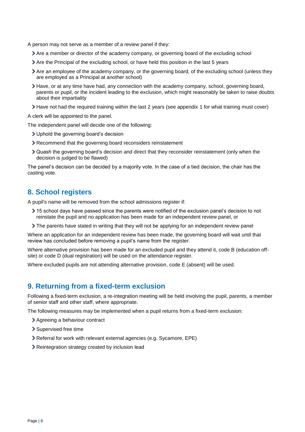- A person may not serve as a member of a review panel if they:
	- Are a member or director of the academy company, or governing board of the excluding school
	- Are the Principal of the excluding school, or have held this position in the last 5 years
	- Are an employee of the academy company, or the governing board, of the excluding school (unless they are employed as a Principal at another school)
	- Have, or at any time have had, any connection with the academy company, school, governing board, parents or pupil, or the incident leading to the exclusion, which might reasonably be taken to raise doubts about their impartiality
	- Have not had the required training within the last 2 years (see appendix 1 for what training must cover)

A clerk will be appointed to the panel.

The independent panel will decide one of the following:

- Uphold the governing board's decision
- Recommend that the governing board reconsiders reinstatement
- Quash the governing board's decision and direct that they reconsider reinstatement (only when the decision is judged to be flawed)

The panel's decision can be decided by a majority vote. In the case of a tied decision, the chair has the casting vote.

## <span id="page-5-0"></span>**8. School registers**

A pupil's name will be removed from the school admissions register if:

- 15 school days have passed since the parents were notified of the exclusion panel's decision to not reinstate the pupil and no application has been made for an independent review panel, or
- The parents have stated in writing that they will not be applying for an independent review panel

Where an application for an independent review has been made, the governing board will wait until that review has concluded before removing a pupil's name from the register.

Where alternative provision has been made for an excluded pupil and they attend it, code B (education offsite) or code D (dual registration) will be used on the attendance register.

Where excluded pupils are not attending alternative provision, code E (absent) will be used.

## <span id="page-5-1"></span>**9. Returning from a fixed-term exclusion**

Following a fixed-term exclusion, a re-integration meeting will be held involving the pupil, parents, a member of senior staff and other staff, where appropriate.

The following measures may be implemented when a pupil returns from a fixed-term exclusion:

- Agreeing a behaviour contract
- Supervised free time
- Referral for work with relevant external agencies (e.g. Sycamore, EPE)
- Reintegration strategy created by inclusion lead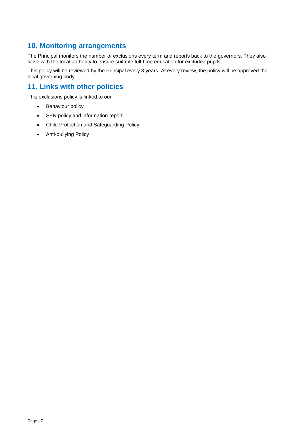# <span id="page-6-0"></span>**10. Monitoring arrangements**

The Principal monitors the number of exclusions every term and reports back to the governors. They also liaise with the local authority to ensure suitable full-time education for excluded pupils.

This policy will be reviewed by the Principal every 3 years. At every review, the policy will be approved the local governing body.

# <span id="page-6-1"></span>**11. Links with other policies**

This exclusions policy is linked to our

- Behaviour policy
- SEN policy and information report
- Child Protection and Safeguarding Policy
- Anti-bullying Policy